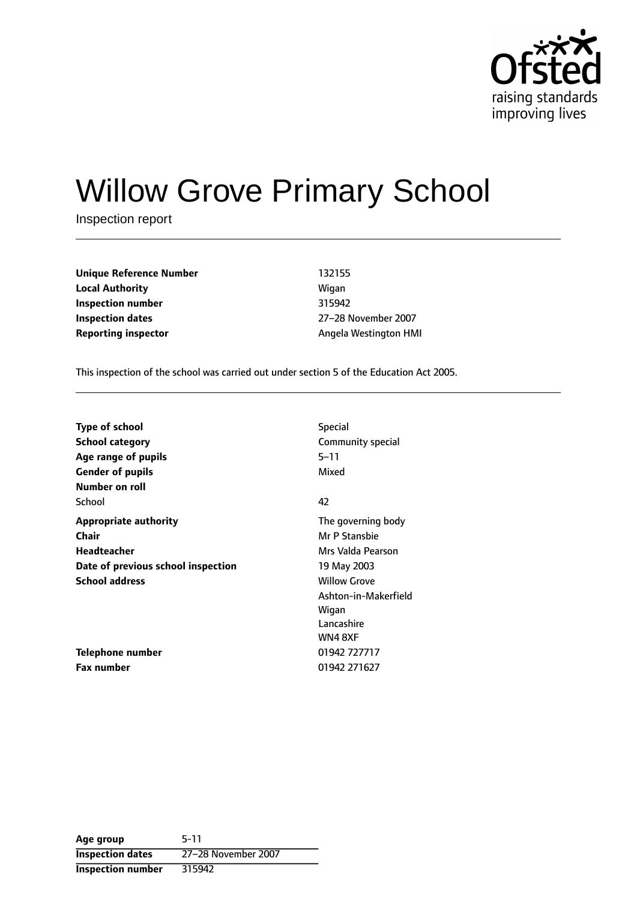

# Willow Grove Primary School

Inspection report

**Unique Reference Number** 132155 **Local Authority Migan Inspection number** 315942 **Inspection dates** 27-28 November 2007

**Reporting inspector** Angela Westington HMI

This inspection of the school was carried out under section 5 of the Education Act 2005.

| Type of school                     | <b>Special</b>       |
|------------------------------------|----------------------|
| <b>School category</b>             | Community special    |
| Age range of pupils                | $5 - 11$             |
| <b>Gender of pupils</b>            | Mixed                |
| Number on roll                     |                      |
| School                             | 42                   |
| <b>Appropriate authority</b>       | The governing body   |
| Chair                              | Mr P Stansbie        |
| Headteacher                        | Mrs Valda Pearson    |
| Date of previous school inspection | 19 May 2003          |
| <b>School address</b>              | <b>Willow Grove</b>  |
|                                    | Ashton-in-Makerfield |
|                                    | Wigan                |
|                                    | Lancashire           |
|                                    | WN4 8XF              |
| <b>Telephone number</b>            | 01942 727717         |
| <b>Fax number</b>                  | 01942 271627         |

**Age group** 5-11 **Inspection dates** 27-28 November 2007 **Inspection number** 315942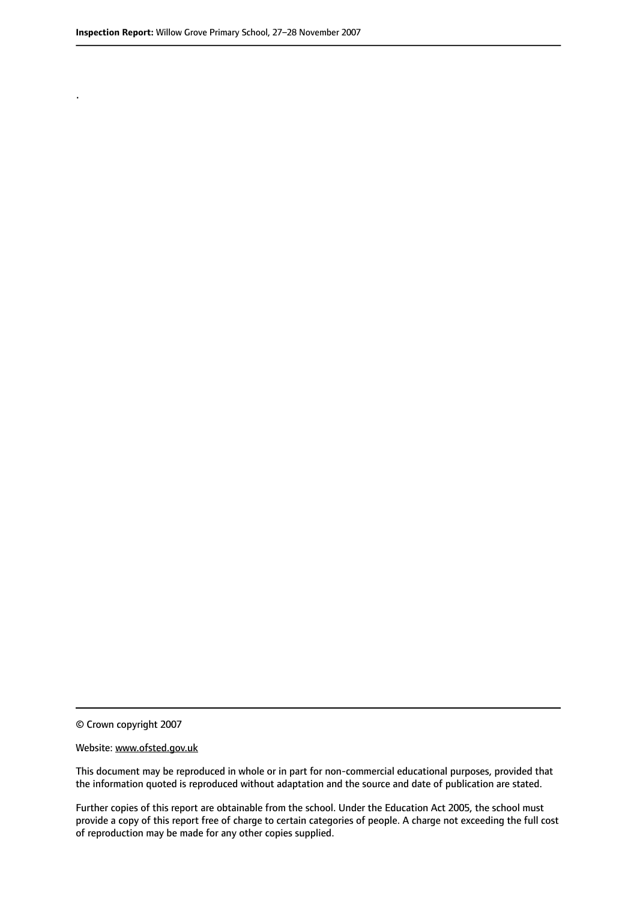.

© Crown copyright 2007

#### Website: www.ofsted.gov.uk

This document may be reproduced in whole or in part for non-commercial educational purposes, provided that the information quoted is reproduced without adaptation and the source and date of publication are stated.

Further copies of this report are obtainable from the school. Under the Education Act 2005, the school must provide a copy of this report free of charge to certain categories of people. A charge not exceeding the full cost of reproduction may be made for any other copies supplied.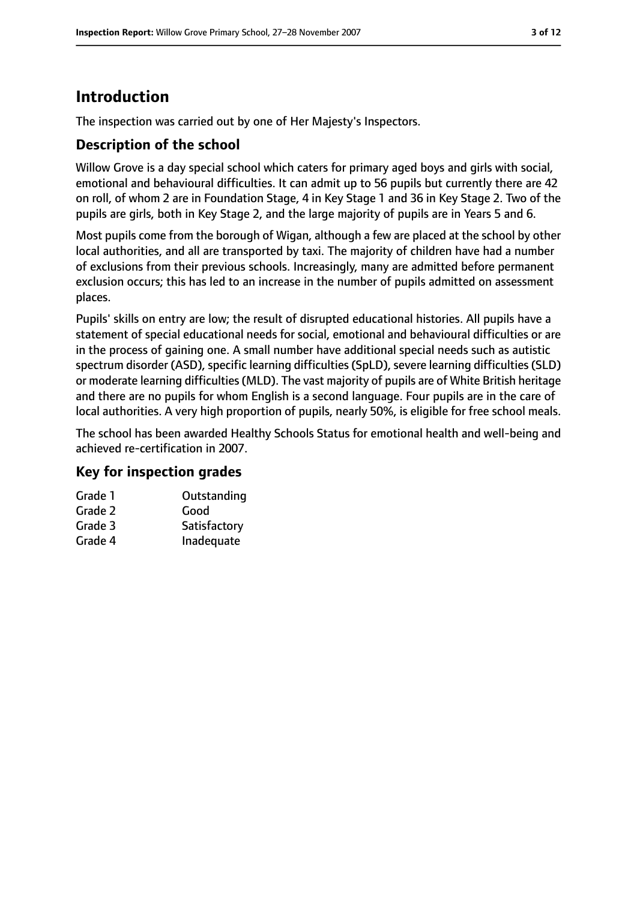# **Introduction**

The inspection was carried out by one of Her Majesty's Inspectors.

## **Description of the school**

Willow Grove is a day special school which caters for primary aged boys and girls with social, emotional and behavioural difficulties. It can admit up to 56 pupils but currently there are 42 on roll, of whom 2 are in Foundation Stage, 4 in Key Stage 1 and 36 in Key Stage 2. Two of the pupils are girls, both in Key Stage 2, and the large majority of pupils are in Years 5 and 6.

Most pupils come from the borough of Wigan, although a few are placed at the school by other local authorities, and all are transported by taxi. The majority of children have had a number of exclusions from their previous schools. Increasingly, many are admitted before permanent exclusion occurs; this has led to an increase in the number of pupils admitted on assessment places.

Pupils' skills on entry are low; the result of disrupted educational histories. All pupils have a statement of special educational needs for social, emotional and behavioural difficulties or are in the process of gaining one. A small number have additional special needs such as autistic spectrum disorder (ASD), specific learning difficulties (SpLD), severe learning difficulties (SLD) or moderate learning difficulties(MLD). The vast majority of pupils are of White British heritage and there are no pupils for whom English is a second language. Four pupils are in the care of local authorities. A very high proportion of pupils, nearly 50%, is eligible for free school meals.

The school has been awarded Healthy Schools Status for emotional health and well-being and achieved re-certification in 2007.

#### **Key for inspection grades**

| Grade 1 | Outstanding  |
|---------|--------------|
| Grade 2 | Good         |
| Grade 3 | Satisfactory |
| Grade 4 | Inadequate   |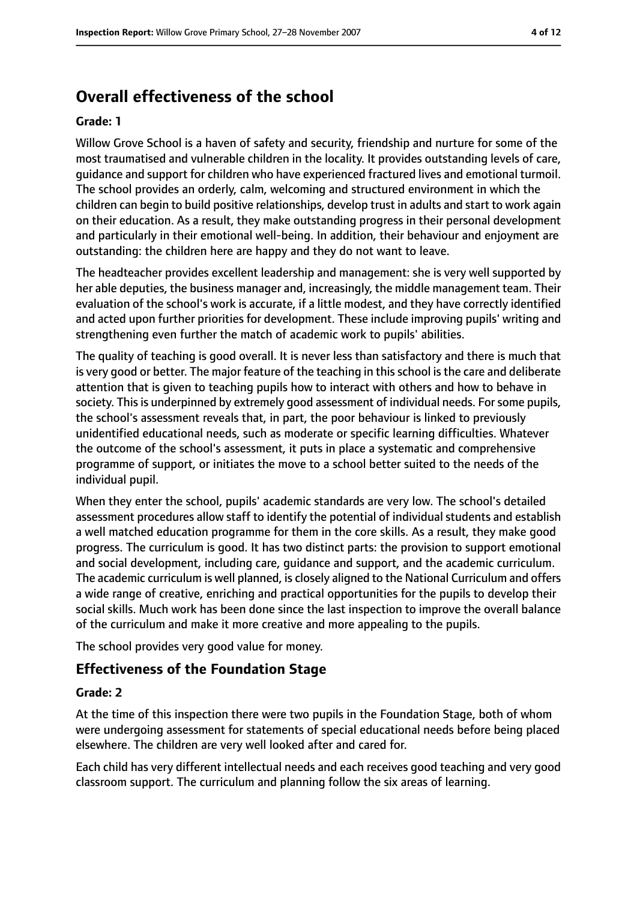## **Overall effectiveness of the school**

#### **Grade: 1**

Willow Grove School is a haven of safety and security, friendship and nurture for some of the most traumatised and vulnerable children in the locality. It provides outstanding levels of care, guidance and support for children who have experienced fractured lives and emotional turmoil. The school provides an orderly, calm, welcoming and structured environment in which the children can begin to build positive relationships, develop trust in adults and start to work again on their education. As a result, they make outstanding progress in their personal development and particularly in their emotional well-being. In addition, their behaviour and enjoyment are outstanding: the children here are happy and they do not want to leave.

The headteacher provides excellent leadership and management: she is very well supported by her able deputies, the business manager and, increasingly, the middle management team. Their evaluation of the school's work is accurate, if a little modest, and they have correctly identified and acted upon further priorities for development. These include improving pupils' writing and strengthening even further the match of academic work to pupils' abilities.

The quality of teaching is good overall. It is never less than satisfactory and there is much that is very good or better. The major feature of the teaching in this school is the care and deliberate attention that is given to teaching pupils how to interact with others and how to behave in society. This is underpinned by extremely good assessment of individual needs. For some pupils, the school's assessment reveals that, in part, the poor behaviour is linked to previously unidentified educational needs, such as moderate or specific learning difficulties. Whatever the outcome of the school's assessment, it puts in place a systematic and comprehensive programme of support, or initiates the move to a school better suited to the needs of the individual pupil.

When they enter the school, pupils' academic standards are very low. The school's detailed assessment procedures allow staff to identify the potential of individual students and establish a well matched education programme for them in the core skills. As a result, they make good progress. The curriculum is good. It has two distinct parts: the provision to support emotional and social development, including care, guidance and support, and the academic curriculum. The academic curriculum is well planned, is closely aligned to the National Curriculum and offers a wide range of creative, enriching and practical opportunities for the pupils to develop their social skills. Much work has been done since the last inspection to improve the overall balance of the curriculum and make it more creative and more appealing to the pupils.

The school provides very good value for money.

#### **Effectiveness of the Foundation Stage**

#### **Grade: 2**

At the time of this inspection there were two pupils in the Foundation Stage, both of whom were undergoing assessment for statements of special educational needs before being placed elsewhere. The children are very well looked after and cared for.

Each child has very different intellectual needs and each receives good teaching and very good classroom support. The curriculum and planning follow the six areas of learning.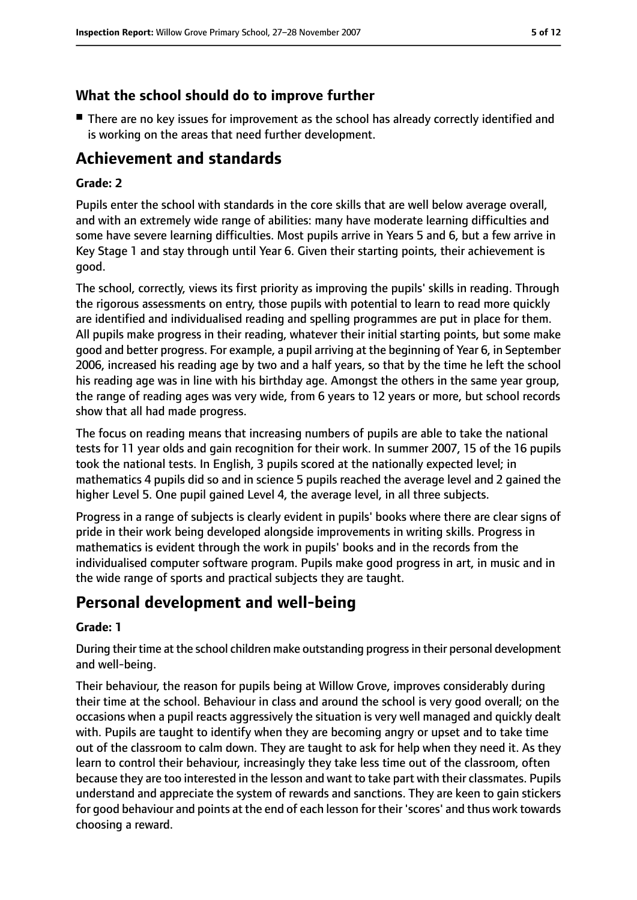## **What the school should do to improve further**

■ There are no key issues for improvement as the school has already correctly identified and is working on the areas that need further development.

## **Achievement and standards**

#### **Grade: 2**

Pupils enter the school with standards in the core skills that are well below average overall, and with an extremely wide range of abilities: many have moderate learning difficulties and some have severe learning difficulties. Most pupils arrive in Years 5 and 6, but a few arrive in Key Stage 1 and stay through until Year 6. Given their starting points, their achievement is good.

The school, correctly, views its first priority as improving the pupils' skills in reading. Through the rigorous assessments on entry, those pupils with potential to learn to read more quickly are identified and individualised reading and spelling programmes are put in place for them. All pupils make progress in their reading, whatever their initial starting points, but some make good and better progress. For example, a pupil arriving at the beginning of Year 6, in September 2006, increased his reading age by two and a half years, so that by the time he left the school his reading age was in line with his birthday age. Amongst the others in the same year group, the range of reading ages was very wide, from 6 years to 12 years or more, but school records show that all had made progress.

The focus on reading means that increasing numbers of pupils are able to take the national tests for 11 year olds and gain recognition for their work. In summer 2007, 15 of the 16 pupils took the national tests. In English, 3 pupils scored at the nationally expected level; in mathematics 4 pupils did so and in science 5 pupils reached the average level and 2 gained the higher Level 5. One pupil gained Level 4, the average level, in all three subjects.

Progress in a range of subjects is clearly evident in pupils' books where there are clear signs of pride in their work being developed alongside improvements in writing skills. Progress in mathematics is evident through the work in pupils' books and in the records from the individualised computer software program. Pupils make good progress in art, in music and in the wide range of sports and practical subjects they are taught.

## **Personal development and well-being**

#### **Grade: 1**

During their time at the school children make outstanding progress in their personal development and well-being.

Their behaviour, the reason for pupils being at Willow Grove, improves considerably during their time at the school. Behaviour in class and around the school is very good overall; on the occasions when a pupil reacts aggressively the situation is very well managed and quickly dealt with. Pupils are taught to identify when they are becoming angry or upset and to take time out of the classroom to calm down. They are taught to ask for help when they need it. As they learn to control their behaviour, increasingly they take less time out of the classroom, often because they are too interested in the lesson and want to take part with their classmates. Pupils understand and appreciate the system of rewards and sanctions. They are keen to gain stickers for good behaviour and points at the end of each lesson for their 'scores' and thus work towards choosing a reward.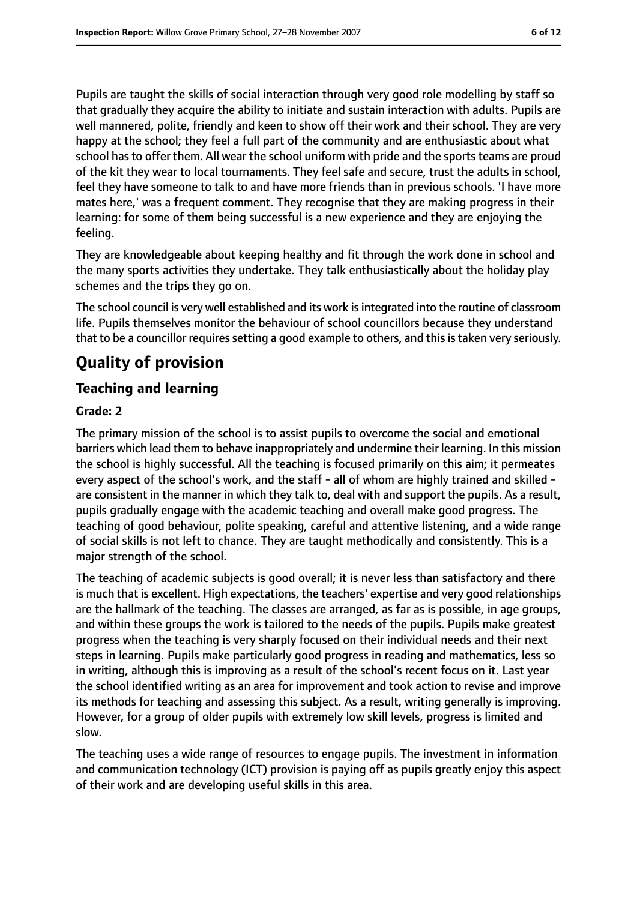Pupils are taught the skills of social interaction through very good role modelling by staff so that gradually they acquire the ability to initiate and sustain interaction with adults. Pupils are well mannered, polite, friendly and keen to show off their work and their school. They are very happy at the school; they feel a full part of the community and are enthusiastic about what school has to offer them. All wear the school uniform with pride and the sports teams are proud of the kit they wear to local tournaments. They feel safe and secure, trust the adults in school, feel they have someone to talk to and have more friends than in previous schools. 'I have more mates here,' was a frequent comment. They recognise that they are making progress in their learning: for some of them being successful is a new experience and they are enjoying the feeling.

They are knowledgeable about keeping healthy and fit through the work done in school and the many sports activities they undertake. They talk enthusiastically about the holiday play schemes and the trips they go on.

The school council is very well established and its work is integrated into the routine of classroom life. Pupils themselves monitor the behaviour of school councillors because they understand that to be a councillor requires setting a good example to others, and this is taken very seriously.

# **Quality of provision**

## **Teaching and learning**

#### **Grade: 2**

The primary mission of the school is to assist pupils to overcome the social and emotional barriers which lead them to behave inappropriately and undermine their learning. In this mission the school is highly successful. All the teaching is focused primarily on this aim; it permeates every aspect of the school's work, and the staff - all of whom are highly trained and skilled are consistent in the manner in which they talk to, deal with and support the pupils. As a result, pupils gradually engage with the academic teaching and overall make good progress. The teaching of good behaviour, polite speaking, careful and attentive listening, and a wide range of social skills is not left to chance. They are taught methodically and consistently. This is a major strength of the school.

The teaching of academic subjects is good overall; it is never less than satisfactory and there is much that is excellent. High expectations, the teachers' expertise and very good relationships are the hallmark of the teaching. The classes are arranged, as far as is possible, in age groups, and within these groups the work is tailored to the needs of the pupils. Pupils make greatest progress when the teaching is very sharply focused on their individual needs and their next steps in learning. Pupils make particularly good progress in reading and mathematics, less so in writing, although this is improving as a result of the school's recent focus on it. Last year the school identified writing as an area for improvement and took action to revise and improve its methods for teaching and assessing this subject. As a result, writing generally is improving. However, for a group of older pupils with extremely low skill levels, progress is limited and slow.

The teaching uses a wide range of resources to engage pupils. The investment in information and communication technology (ICT) provision is paying off as pupils greatly enjoy this aspect of their work and are developing useful skills in this area.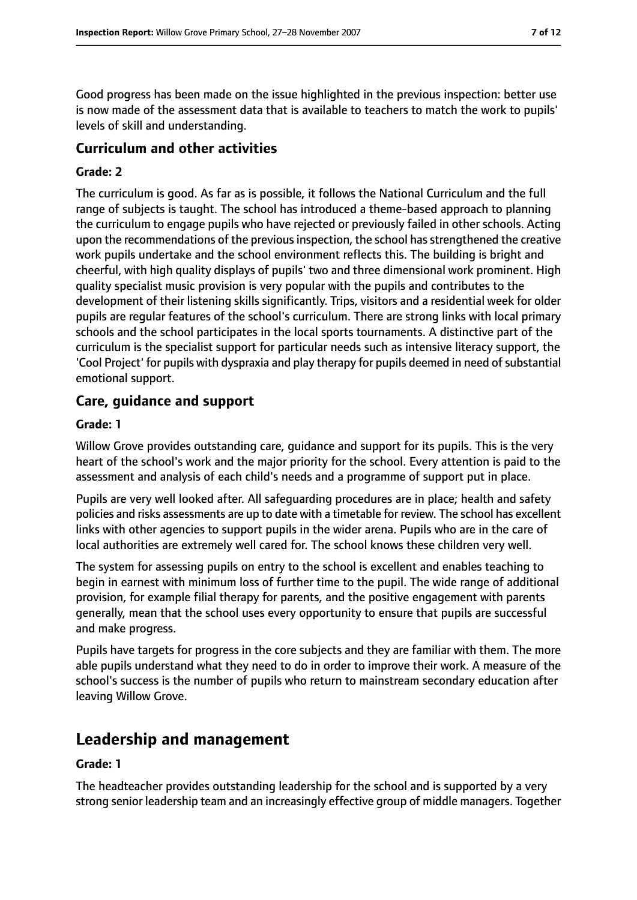Good progress has been made on the issue highlighted in the previous inspection: better use is now made of the assessment data that is available to teachers to match the work to pupils' levels of skill and understanding.

## **Curriculum and other activities**

#### **Grade: 2**

The curriculum is good. As far as is possible, it follows the National Curriculum and the full range of subjects is taught. The school has introduced a theme-based approach to planning the curriculum to engage pupils who have rejected or previously failed in other schools. Acting upon the recommendations of the previous inspection, the school has strengthened the creative work pupils undertake and the school environment reflects this. The building is bright and cheerful, with high quality displays of pupils' two and three dimensional work prominent. High quality specialist music provision is very popular with the pupils and contributes to the development of their listening skills significantly. Trips, visitors and a residential week for older pupils are regular features of the school's curriculum. There are strong links with local primary schools and the school participates in the local sports tournaments. A distinctive part of the curriculum is the specialist support for particular needs such as intensive literacy support, the 'Cool Project' for pupils with dyspraxia and play therapy for pupils deemed in need of substantial emotional support.

#### **Care, guidance and support**

#### **Grade: 1**

Willow Grove provides outstanding care, guidance and support for its pupils. This is the very heart of the school's work and the major priority for the school. Every attention is paid to the assessment and analysis of each child's needs and a programme of support put in place.

Pupils are very well looked after. All safeguarding procedures are in place; health and safety policies and risks assessments are up to date with a timetable for review. The school has excellent links with other agencies to support pupils in the wider arena. Pupils who are in the care of local authorities are extremely well cared for. The school knows these children very well.

The system for assessing pupils on entry to the school is excellent and enables teaching to begin in earnest with minimum loss of further time to the pupil. The wide range of additional provision, for example filial therapy for parents, and the positive engagement with parents generally, mean that the school uses every opportunity to ensure that pupils are successful and make progress.

Pupils have targets for progress in the core subjects and they are familiar with them. The more able pupils understand what they need to do in order to improve their work. A measure of the school's success is the number of pupils who return to mainstream secondary education after leaving Willow Grove.

## **Leadership and management**

#### **Grade: 1**

The headteacher provides outstanding leadership for the school and is supported by a very strong senior leadership team and an increasingly effective group of middle managers. Together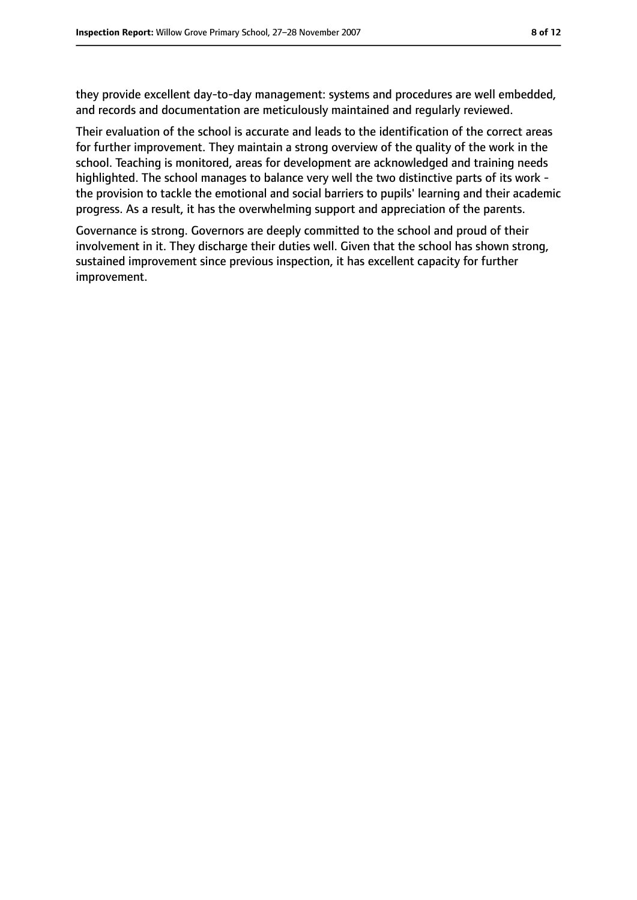they provide excellent day-to-day management: systems and procedures are well embedded, and records and documentation are meticulously maintained and regularly reviewed.

Their evaluation of the school is accurate and leads to the identification of the correct areas for further improvement. They maintain a strong overview of the quality of the work in the school. Teaching is monitored, areas for development are acknowledged and training needs highlighted. The school manages to balance very well the two distinctive parts of its work the provision to tackle the emotional and social barriers to pupils' learning and their academic progress. As a result, it has the overwhelming support and appreciation of the parents.

Governance is strong. Governors are deeply committed to the school and proud of their involvement in it. They discharge their duties well. Given that the school has shown strong, sustained improvement since previous inspection, it has excellent capacity for further improvement.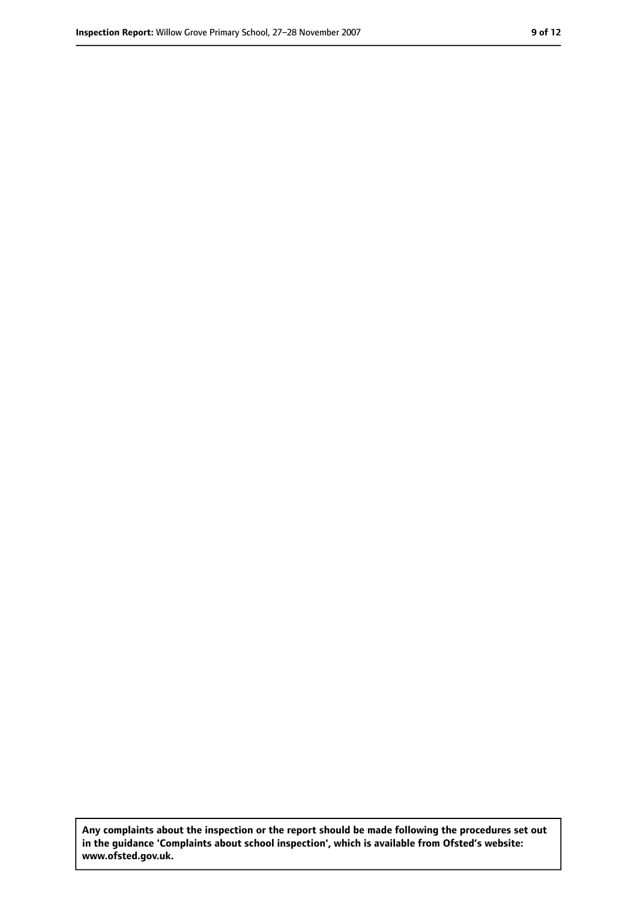**Any complaints about the inspection or the report should be made following the procedures set out in the guidance 'Complaints about school inspection', which is available from Ofsted's website: www.ofsted.gov.uk.**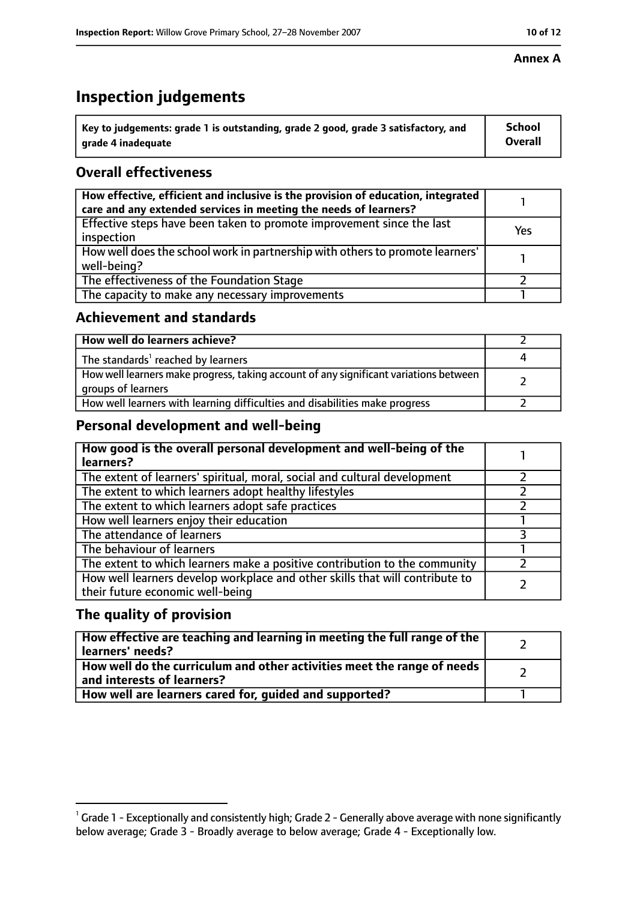# **Inspection judgements**

| $^{\backprime}$ Key to judgements: grade 1 is outstanding, grade 2 good, grade 3 satisfactory, and | <b>School</b>  |
|----------------------------------------------------------------------------------------------------|----------------|
| arade 4 inadequate                                                                                 | <b>Overall</b> |

## **Overall effectiveness**

| How effective, efficient and inclusive is the provision of education, integrated<br>care and any extended services in meeting the needs of learners? |     |
|------------------------------------------------------------------------------------------------------------------------------------------------------|-----|
| Effective steps have been taken to promote improvement since the last<br>inspection                                                                  | Yes |
| How well does the school work in partnership with others to promote learners'<br>well-being?                                                         |     |
| The effectiveness of the Foundation Stage                                                                                                            |     |
| The capacity to make any necessary improvements                                                                                                      |     |

## **Achievement and standards**

| How well do learners achieve?                                                                               |  |
|-------------------------------------------------------------------------------------------------------------|--|
| The standards <sup>1</sup> reached by learners                                                              |  |
| How well learners make progress, taking account of any significant variations between<br>groups of learners |  |
| How well learners with learning difficulties and disabilities make progress                                 |  |

## **Personal development and well-being**

| How good is the overall personal development and well-being of the<br>learners?                                  |  |
|------------------------------------------------------------------------------------------------------------------|--|
| The extent of learners' spiritual, moral, social and cultural development                                        |  |
| The extent to which learners adopt healthy lifestyles                                                            |  |
| The extent to which learners adopt safe practices                                                                |  |
| How well learners enjoy their education                                                                          |  |
| The attendance of learners                                                                                       |  |
| The behaviour of learners                                                                                        |  |
| The extent to which learners make a positive contribution to the community                                       |  |
| How well learners develop workplace and other skills that will contribute to<br>their future economic well-being |  |

## **The quality of provision**

| How effective are teaching and learning in meeting the full range of the<br>learners' needs?          |  |
|-------------------------------------------------------------------------------------------------------|--|
| How well do the curriculum and other activities meet the range of needs<br>and interests of learners? |  |
| How well are learners cared for, quided and supported?                                                |  |

 $^1$  Grade 1 - Exceptionally and consistently high; Grade 2 - Generally above average with none significantly below average; Grade 3 - Broadly average to below average; Grade 4 - Exceptionally low.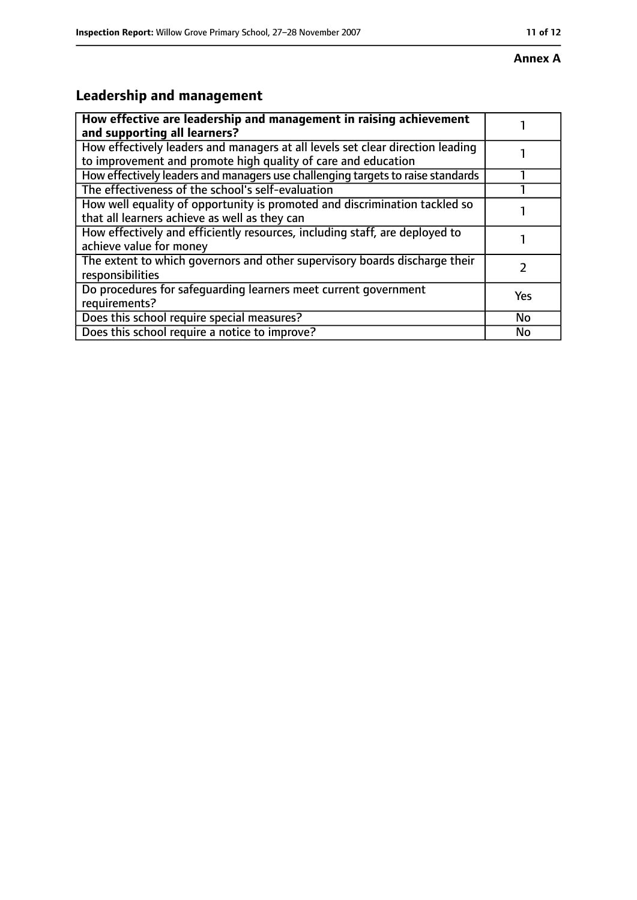# **Leadership and management**

| How effective are leadership and management in raising achievement<br>and supporting all learners?                                              |     |
|-------------------------------------------------------------------------------------------------------------------------------------------------|-----|
| How effectively leaders and managers at all levels set clear direction leading<br>to improvement and promote high quality of care and education |     |
| How effectively leaders and managers use challenging targets to raise standards                                                                 |     |
| The effectiveness of the school's self-evaluation                                                                                               |     |
| How well equality of opportunity is promoted and discrimination tackled so<br>that all learners achieve as well as they can                     |     |
| How effectively and efficiently resources, including staff, are deployed to<br>achieve value for money                                          |     |
| The extent to which governors and other supervisory boards discharge their<br>responsibilities                                                  |     |
| Do procedures for safequarding learners meet current government<br>requirements?                                                                | Yes |
| Does this school require special measures?                                                                                                      | No  |
| Does this school require a notice to improve?                                                                                                   | No  |